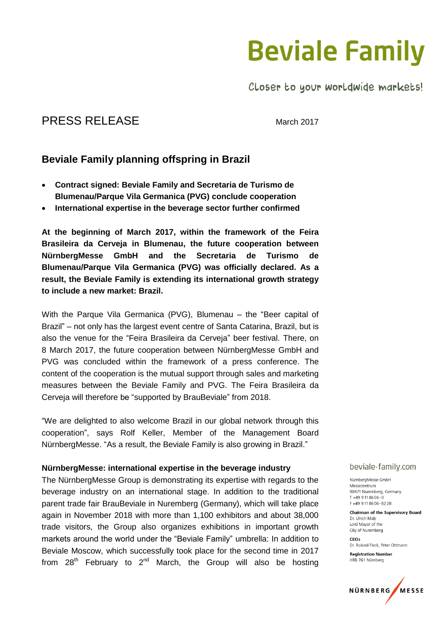## **Beviale Family**

Closer to your worldwide markets!

## PRESS RELEASE March 2017

### **Beviale Family planning offspring in Brazil**

- **Contract signed: Beviale Family and Secretaria de Turismo de Blumenau/Parque Vila Germanica (PVG) conclude cooperation**
- **International expertise in the beverage sector further confirmed**

**At the beginning of March 2017, within the framework of the Feira Brasileira da Cerveja in Blumenau, the future cooperation between NürnbergMesse GmbH and the Secretaria de Turismo de Blumenau/Parque Vila Germanica (PVG) was officially declared. As a result, the Beviale Family is extending its international growth strategy to include a new market: Brazil.**

With the Parque Vila Germanica (PVG), Blumenau – the "Beer capital of Brazil" – not only has the largest event centre of Santa Catarina, Brazil, but is also the venue for the "Feira Brasileira da Cerveja" beer festival. There, on 8 March 2017, the future cooperation between NürnbergMesse GmbH and PVG was concluded within the framework of a press conference. The content of the cooperation is the mutual support through sales and marketing measures between the Beviale Family and PVG. The Feira Brasileira da Cerveja will therefore be "supported by BrauBeviale" from 2018.

"We are delighted to also welcome Brazil in our global network through this cooperation", says Rolf Keller, Member of the Management Board NürnbergMesse. "As a result, the Beviale Family is also growing in Brazil."

#### **NürnbergMesse: international expertise in the beverage industry**

The NürnbergMesse Group is demonstrating its expertise with regards to the beverage industry on an international stage. In addition to the traditional parent trade fair BrauBeviale in Nuremberg (Germany), which will take place again in November 2018 with more than 1,100 exhibitors and about 38,000 trade visitors, the Group also organizes exhibitions in important growth markets around the world under the "Beviale Family" umbrella: In addition to Beviale Moscow, which successfully took place for the second time in 2017 from  $28<sup>th</sup>$  February to  $2<sup>nd</sup>$  March, the Group will also be hosting

#### beviale-family.com

NürnbergMesse GmbH Messezentrum 90471 Nuremberg Germany  $T + 499118606 - 0$ F+499118606-8228

Chairman of the Supervisory Board Dr. Ulrich Malv Lord Mayor of the City of Nuremberg

 $CFOS$ Dr. Roland Fleck, Peter Ottmann

**Registration Number** HRB 761 Nürnberg